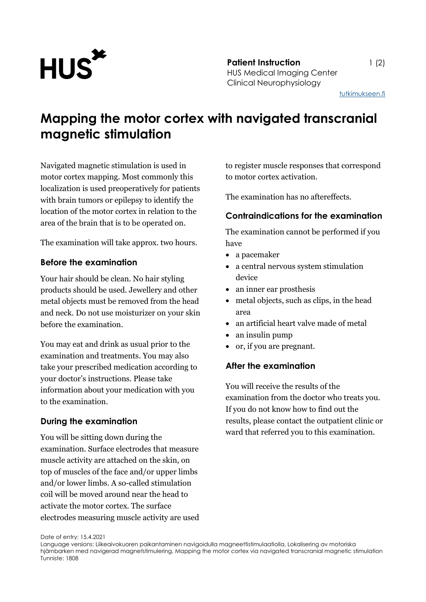

[tutkimukseen.fi](http://www.tutkimukseen.fi/)

# **Mapping the motor cortex with navigated transcranial magnetic stimulation**

Navigated magnetic stimulation is used in motor cortex mapping. Most commonly this localization is used preoperatively for patients with brain tumors or epilepsy to identify the location of the motor cortex in relation to the area of the brain that is to be operated on.

The examination will take approx. two hours.

### **Before the examination**

Your hair should be clean. No hair styling products should be used. Jewellery and other metal objects must be removed from the head and neck. Do not use moisturizer on your skin before the examination.

You may eat and drink as usual prior to the examination and treatments. You may also take your prescribed medication according to your doctor's instructions. Please take information about your medication with you to the examination.

# **During the examination**

You will be sitting down during the examination. Surface electrodes that measure muscle activity are attached on the skin, on top of muscles of the face and/or upper limbs and/or lower limbs. A so-called stimulation coil will be moved around near the head to activate the motor cortex. The surface electrodes measuring muscle activity are used to register muscle responses that correspond to motor cortex activation.

The examination has no aftereffects.

## **Contraindications for the examination**

The examination cannot be performed if you have

- a pacemaker
- a central nervous system stimulation device
- an inner ear prosthesis
- metal objects, such as clips, in the head area
- an artificial heart valve made of metal
- an insulin pump
- or, if you are pregnant.

### **After the examination**

You will receive the results of the examination from the doctor who treats you. If you do not know how to find out the results, please contact the outpatient clinic or ward that referred you to this examination.

Date of entry: 15.4.2021

Language versions: Liikeaivokuoren paikantaminen navigoidulla magneettistimulaatiolla, Lokalisering av motoriska hjärnbarken med navigerad magnetstimulering, Mapping the motor cortex via navigated transcranial magnetic stimulation Tunniste: 1808